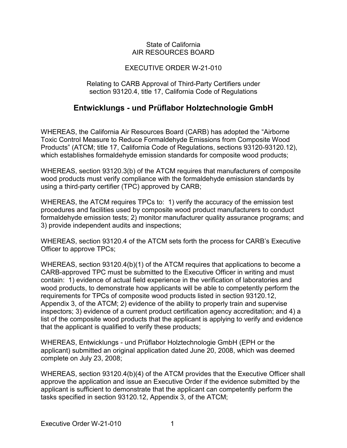## State of California AIR RESOURCES BOARD

## EXECUTIVE ORDER W-21-010

## Relating to CARB Approval of Third-Party Certifiers under section 93120.4, title 17, California Code of Regulations

## **Entwicklungs - und Prüflabor Holztechnologie GmbH**

 which establishes formaldehyde emission standards for composite wood products; WHEREAS, the California Air Resources Board (CARB) has adopted the "Airborne Toxic Control Measure to Reduce Formaldehyde Emissions from Composite Wood Products" (ATCM; title 17, California Code of Regulations, sections 93120-93120.12),

 using a third-party certifier (TPC) approved by CARB; WHEREAS, section 93120.3(b) of the ATCM requires that manufacturers of composite wood products must verify compliance with the formaldehyde emission standards by

 WHEREAS, the ATCM requires TPCs to: 1) verify the accuracy of the emission test procedures and facilities used by composite wood product manufacturers to conduct formaldehyde emission tests; 2) monitor manufacturer quality assurance programs; and 3) provide independent audits and inspections;

 WHEREAS, section 93120.4 of the ATCM sets forth the process for CARB's Executive Officer to approve TPCs;

 CARB-approved TPC must be submitted to the Executive Officer in writing and must contain: 1) evidence of actual field experience in the verification of laboratories and that the applicant is qualified to verify these products; WHEREAS, section 93120.4(b)(1) of the ATCM requires that applications to become a wood products, to demonstrate how applicants will be able to competently perform the requirements for TPCs of composite wood products listed in section 93120.12, Appendix 3, of the ATCM; 2) evidence of the ability to properly train and supervise inspectors; 3) evidence of a current product certification agency accreditation; and 4) a list of the composite wood products that the applicant is applying to verify and evidence

 WHEREAS, Entwicklungs - und Prüflabor Holztechnologie GmbH (EPH or the applicant) submitted an original application dated June 20, 2008, which was deemed complete on July 23, 2008;

 tasks specified in section 93120.12, Appendix 3, of the ATCM; WHEREAS, section 93120.4(b)(4) of the ATCM provides that the Executive Officer shall approve the application and issue an Executive Order if the evidence submitted by the applicant is sufficient to demonstrate that the applicant can competently perform the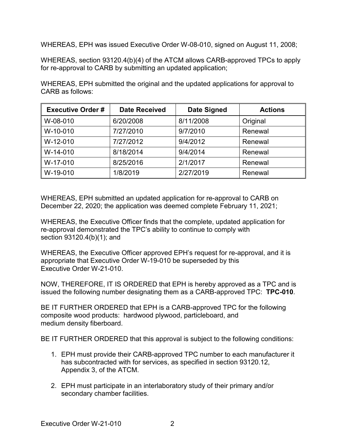WHEREAS, EPH was issued Executive Order W-08-010, signed on August 11, 2008;

 WHEREAS, section 93120.4(b)(4) of the ATCM allows CARB-approved TPCs to apply for re-approval to CARB by submitting an updated application;

 WHEREAS, EPH submitted the original and the updated applications for approval to CARB as follows:

| <b>Executive Order#</b> | <b>Date Received</b> | <b>Date Signed</b> | <b>Actions</b> |
|-------------------------|----------------------|--------------------|----------------|
| W-08-010                | 6/20/2008            | 8/11/2008          | Original       |
| W-10-010                | 7/27/2010            | 9/7/2010           | Renewal        |
| $W-12-010$              | 7/27/2012            | 9/4/2012           | Renewal        |
| W-14-010                | 8/18/2014            | 9/4/2014           | Renewal        |
| W-17-010                | 8/25/2016            | 2/1/2017           | Renewal        |
| W-19-010                | 1/8/2019             | 2/27/2019          | Renewal        |

 December 22, 2020; the application was deemed complete February 11, 2021; WHEREAS, EPH submitted an updated application for re-approval to CARB on

 section 93120.4(b)(1); and WHEREAS, the Executive Officer finds that the complete, updated application for re-approval demonstrated the TPC's ability to continue to comply with

 appropriate that Executive Order W-19-010 be superseded by this Executive Order W-21-010. WHEREAS, the Executive Officer approved EPH's request for re-approval, and it is

 NOW, THEREFORE, IT IS ORDERED that EPH is hereby approved as a TPC and is issued the following number designating them as a CARB-approved TPC: **TPC-010**.

 BE IT FURTHER ORDERED that EPH is a CARB-approved TPC for the following composite wood products: hardwood plywood, particleboard, and medium density fiberboard.

medium density fiberboard.<br>BE IT FURTHER ORDERED that this approval is subject to the following conditions:

- 1. EPH must provide their CARB-approved TPC number to each manufacturer it Appendix 3, of the ATCM. has subcontracted with for services, as specified in section 93120.12,
- 2. EPH must participate in an interlaboratory study of their primary and/or secondary chamber facilities.